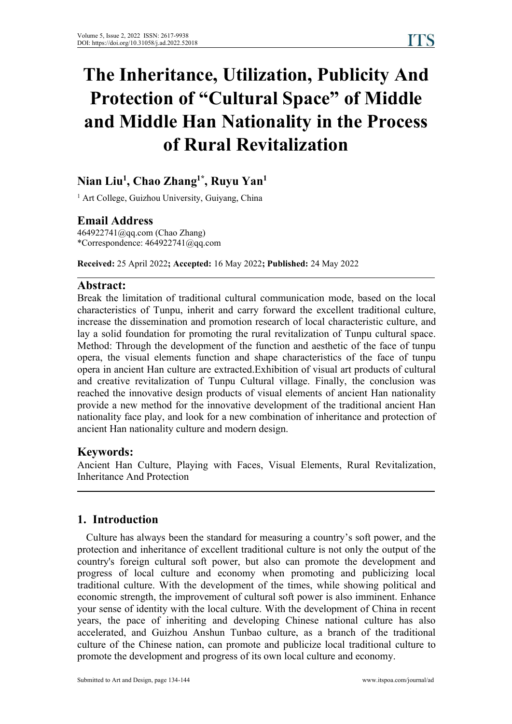# **The Inheritance, Utilization, Publicity And Protection of "Cultural Space" of Middle and Middle Han Nationality in the Process of Rural Revitalization**

#### **Nian Liu 1 , Chao Zhang 1\* , Ruyu Yan 1**

<sup>1</sup> Art College, Guizhou University, Guiyang, China

**Email Address**<br>464922741@gq.com (Chao Zhang)  $*$ Correspondence: 464922741@qq.com

**Received:** 25 April 2022**; Accepted:** 16 May 2022**; Published:** 24 May 2022

#### **Abstract:**

Break the limitation of traditional cultural communication mode, based on the local characteristics of Tunpu, inherit and carry forward the excellent traditional culture, increase the dissemination and promotion research of local characteristic culture, and lay a solid foundation for promoting the rural revitalization of Tunpu cultural space. Method: Through the development of the function and aesthetic of the face of tunpu opera, the visual elements function and shape characteristics of the face of tunpu opera in ancient Han culture are extracted.Exhibition of visual art products of cultural and creative revitalization of Tunpu Cultural village. Finally, the conclusion was reached the innovative design products of visual elements of ancient Han nationality provide a new method for the innovative development of the traditional ancient Han nationality face play, and look for a new combination of inheritance and protection of ancient Han nationality culture and modern design.

#### **Keywords:**

Ancient Han Culture, Playing with Faces, Visual Elements, Rural Revitalization, Inheritance And Protection

#### **1. Introduction**

Culture has always been the standard for measuring a country's soft power, and the protection and inheritance of excellent traditional culture is not only the output of the country's foreign cultural soft power, but also can promote the development and progress of local culture and economy when promoting and publicizing local traditional culture. With the development of the times, while showing political and economic strength, the improvement of cultural soft power is also imminent. Enhance your sense of identity with the local culture. With the development of China in recent years, the pace of inheriting and developing Chinese national culture has also accelerated, and Guizhou Anshun Tunbao culture, as a branch of the traditional culture of the Chinese nation, can promote and publicize local traditional culture to promote the development and progress of its own local culture and economy.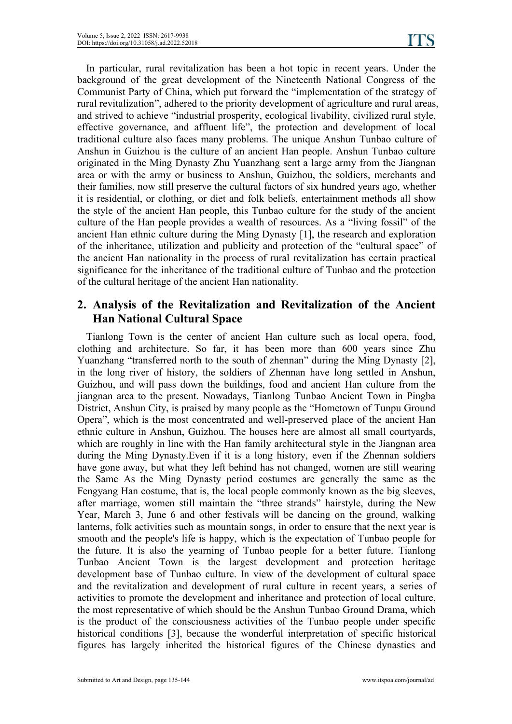In particular, rural revitalization has been a hot topic in recent years. Under the background of the great development of the Nineteenth National Congress of the Communist Party of China, which put forward the "implementation of the strategy of rural revitalization", adhered to the priority development of agriculture and rural areas, and strived to achieve "industrial prosperity, ecological livability, civilized rural style, effective governance, and affluent life", the protection and development of local traditional culture also faces many problems. The unique Anshun Tunbao culture of Anshun in Guizhou is the culture of an ancient Han people. Anshun Tunbao culture originated in the Ming Dynasty Zhu Yuanzhang sent a large army from the Jiangnan area or with the army or business to Anshun, Guizhou, the soldiers, merchants and their families, now still preserve the cultural factors of six hundred years ago, whether it is residential, or clothing, or diet and folk beliefs, entertainment methods all show the style of the ancient Han people, this Tunbao culture for the study of the ancient culture of the Han people provides a wealth of resources. As a "living fossil" of the ancient Han ethnic culture during the Ming Dynasty [1], the research and exploration of the inheritance, utilization and publicity and protection of the "cultural space" of the ancient Han nationality in the process of rural revitalization has certain practical significance for the inheritance of the traditional culture of Tunbao and the protection of the cultural heritage of the ancient Han nationality.

### **2. Analysis of the Revitalization and Revitalization of the Ancient Han National Cultural Space**

Tianlong Town is the center of ancient Han culture such as local opera, food, clothing and architecture. So far, it has been more than 600 years since Zhu Yuanzhang "transferred north to the south of zhennan" during the Ming Dynasty [2], in the long river of history, the soldiers of Zhennan have long settled in Anshun, Guizhou, and will pass down the buildings, food and ancient Han culture from the jiangnan area to the present. Nowadays, Tianlong Tunbao Ancient Town in Pingba District, Anshun City, is praised by many people as the "Hometown of Tunpu Ground Opera", which is the most concentrated and well-preserved place of the ancient Han ethnic culture in Anshun, Guizhou. The houses here are almost all small courtyards, which are roughly in line with the Han family architectural style in the Jiangnan area during the Ming Dynasty.Even if it is a long history, even if the Zhennan soldiers have gone away, but what they left behind has not changed, women are still wearing the Same As the Ming Dynasty period costumes are generally the same as the Fengyang Han costume, that is, the local people commonly known as the big sleeves, after marriage, women still maintain the "three strands" hairstyle, during the New Year, March 3, June 6 and other festivals will be dancing on the ground, walking lanterns, folk activities such as mountain songs, in order to ensure that the next year is smooth and the people's life is happy, which is the expectation of Tunbao people for the future. It is also the yearning of Tunbao people for a better future. Tianlong Tunbao Ancient Town is the largest development and protection heritage development base of Tunbao culture. In view of the development of cultural space and the revitalization and development of rural culture in recent years, a series of activities to promote the development and inheritance and protection of local culture, the most representative of which should be the Anshun Tunbao Ground Drama, which is the product of the consciousness activities of the Tunbao people under specific historical conditions [3], because the wonderful interpretation of specific historical figures has largely inherited the historical figures of the Chinese dynasties and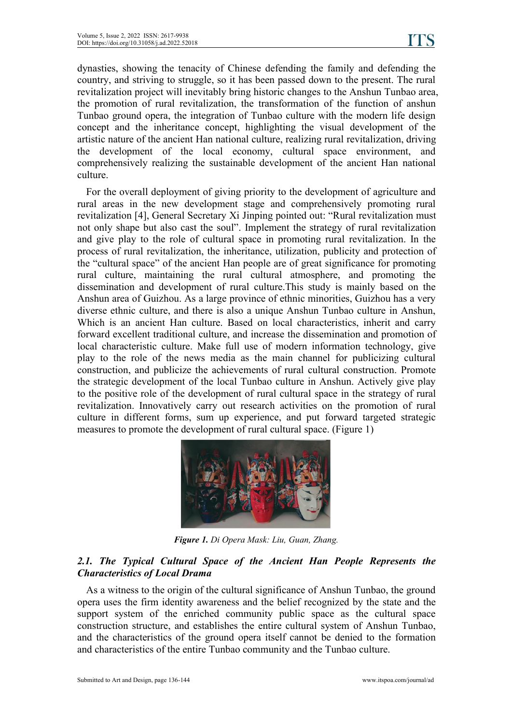dynasties, showing the tenacity of Chinese defending the family and defending the country, and striving to struggle, so it has been passed down to the present. The rural revitalization project will inevitably bring historic changes to the Anshun Tunbao area, the promotion of rural revitalization, the transformation of the function of anshun Tunbao ground opera, the integration of Tunbao culture with the modern life design concept and the inheritance concept, highlighting the visual development of the artistic nature of the ancient Han national culture, realizing rural revitalization, driving the development of the local economy, cultural space environment, and comprehensively realizing the sustainable development of the ancient Han national culture.

For the overall deployment of giving priority to the development of agriculture and rural areas in the new development stage and comprehensively promoting rural revitalization [4], General Secretary Xi Jinping pointed out: "Rural revitalization must not only shape but also cast the soul". Implement the strategy of rural revitalization and give play to the role of cultural space in promoting rural revitalization. In the process of rural revitalization, the inheritance, utilization, publicity and protection of the "cultural space" of the ancient Han people are of great significance for promoting rural culture, maintaining the rural cultural atmosphere, and promoting the dissemination and development of rural culture.This study is mainly based on the Anshun area of Guizhou. As a large province of ethnic minorities, Guizhou has a very diverse ethnic culture, and there is also a unique Anshun Tunbao culture in Anshun, Which is an ancient Han culture. Based on local characteristics, inherit and carry forward excellent traditional culture, and increase the dissemination and promotion of local characteristic culture. Make full use of modern information technology, give play to the role of the news media as the main channel for publicizing cultural construction, and publicize the achievements of rural cultural construction. Promote the strategic development of the local Tunbao culture in Anshun. Actively give play to the positive role of the development of rural cultural space in the strategy of rural revitalization. Innovatively carry out research activities on the promotion of rural culture in different forms, sum up experience, and put forward targeted strategic measures to promote the development of rural cultural space. (Figure 1)



*Figure 1. Di Opera Mask: Liu, Guan, Zhang.*

#### *2.1. The Typical Cultural Space of the Ancient Han People Represents the Characteristics ofLocal Drama*

As a witness to the origin of the cultural significance of Anshun Tunbao, the ground opera uses the firm identity awareness and the belief recognized by the state and the support system of the enriched community public space as the cultural space construction structure, and establishes the entire cultural system of Anshun Tunbao, and the characteristics of the ground opera itself cannot be denied to the formation and characteristics of the entire Tunbao community and the Tunbao culture.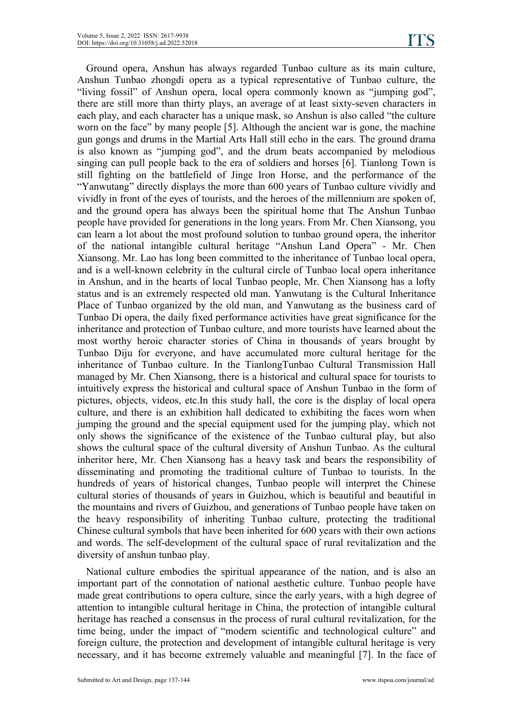Ground opera, Anshun has always regarded Tunbao culture as its main culture, Anshun Tunbao zhongdi opera as a typical representative of Tunbao culture, the "living fossil" of Anshun opera, local opera commonly known as "jumping god", there are still more than thirty plays, an average of at least sixty-seven characters in each play, and each character has a unique mask, so Anshun is also called "the culture worn on the face" by many people [5]. Although the ancient war is gone, the machine gun gongs and drums in the Martial Arts Hall still echo in the ears. The ground drama is also known as "jumping god", and the drum beats accompanied by melodious singing can pull people back to the era of soldiers and horses [6]. Tianlong Town is still fighting on the battlefield of Jinge Iron Horse, and the performance of the "Yanwutang" directly displays the more than 600 years of Tunbao culture vividly and vividly in front of the eyes of tourists, and the heroes of the millennium are spoken of, and the ground opera has always been the spiritual home that The Anshun Tunbao people have provided for generations in the long years. From Mr. Chen Xiansong, you can learn a lot about the most profound solution to tunbao ground opera, the inheritor of the national intangible cultural heritage "Anshun Land Opera" - Mr. Chen Xiansong. Mr. Lao has long been committed to the inheritance of Tunbao local opera, and is a well-known celebrity in the cultural circle of Tunbao local opera inheritance in Anshun, and in the hearts of local Tunbao people, Mr. Chen Xiansong has a lofty status and is an extremely respected old man. Yanwutang is the Cultural Inheritance Place of Tunbao organized by the old man, and Yanwutang as the business card of Tunbao Di opera, the daily fixed performance activities have great significance for the inheritance and protection of Tunbao culture, and more tourists have learned about the most worthy heroic character stories of China in thousands of years brought by Tunbao Diju for everyone, and have accumulated more cultural heritage for the inheritance of Tunbao culture. In the TianlongTunbao Cultural Transmission Hall managed by Mr. Chen Xiansong, there isa historical and cultural space for tourists to intuitively express the historical and cultural space of Anshun Tunbao in the form of pictures, objects, videos, etc.In this study hall, the core is the display of local opera culture, and there is an exhibition hall dedicated to exhibiting the faces worn when jumping the ground and the special equipment used for the jumping play, which not only shows the significance of the existence of the Tunbao cultural play, but also shows the cultural space of the cultural diversity of Anshun Tunbao. As the cultural inheritor here, Mr. Chen Xiansong has a heavy task and bears the responsibility of disseminating and promoting the traditional culture of Tunbao to tourists. In the hundreds of years of historical changes, Tunbao people will interpret the Chinese cultural stories of thousands of years in Guizhou, which is beautiful and beautiful in the mountains and rivers of Guizhou, and generations of Tunbao people have taken on the heavy responsibility of inheriting Tunbao culture, protecting the traditional Chinese cultural symbols that have been inherited for 600 years with their own actions and words. The self-development of the cultural space of rural revitalization and the diversity of anshun tunbao play.

National culture embodies the spiritual appearance of the nation, and is also an important part of the connotation of national aesthetic culture. Tunbao people have made great contributions to opera culture, since the early years, with a high degree of attention to intangible cultural heritage in China, the protection of intangible cultural heritage has reached a consensus in the process of rural cultural revitalization, for the time being, under the impact of "modern scientific and technological culture" and foreign culture, the protection and development of intangible cultural heritage is very necessary, and it has become extremely valuable and meaningful [7]. In the face of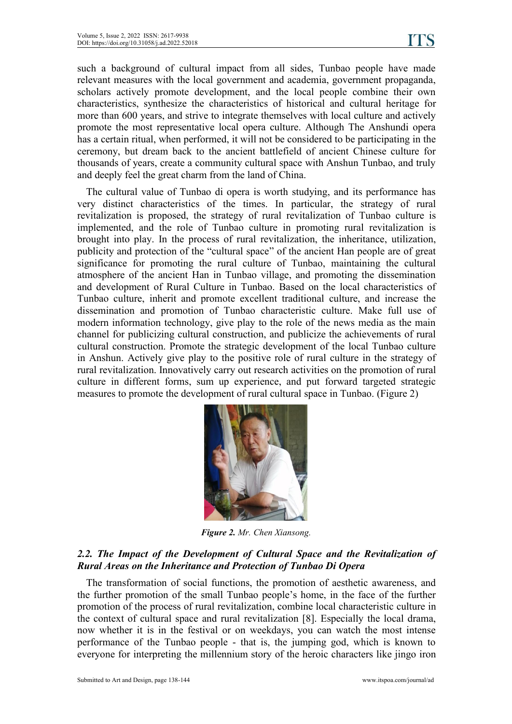such a background of cultural impact from all sides, Tunbao people have made relevant measures with the local government and academia, government propaganda, scholars actively promote development, and the local people combine their own characteristics, synthesize the characteristics of historical and cultural heritage for more than 600 years, and strive to integrate themselves with local culture and actively promote the most representative local opera culture. Although The Anshundi opera has a certain ritual, when performed, it will not be considered to be participating in the ceremony, but dream back to the ancient battlefield of ancient Chinese culture for thousands of years, create a community cultural space with Anshun Tunbao, and truly and deeply feel the great charm from the land of China.

The cultural value of Tunbao di opera is worth studying, and its performance has very distinct characteristics of the times. In particular, the strategy of rural revitalization is proposed, the strategy of rural revitalization of Tunbao culture is implemented, and the role of Tunbao culture in promoting rural revitalization is brought into play. In the process of rural revitalization, the inheritance, utilization, publicity and protection of the "cultural space" of the ancient Han people are of great significance for promoting the rural culture of Tunbao, maintaining the cultural atmosphere of the ancient Han in Tunbao village, and promoting the dissemination and development of Rural Culture in Tunbao. Based on the local characteristics of Tunbao culture, inherit and promote excellent traditional culture, and increase the dissemination and promotion of Tunbao characteristic culture. Make full use of modern information technology, give play to the role of the news media as the main channel for publicizing cultural construction, and publicize the achievements of rural cultural construction. Promote the strategic development of the local Tunbao culture in Anshun. Actively give play to the positive role of rural culture in the strategy of rural revitalization. Innovatively carry out research activities on the promotion of rural culture in different forms, sum up experience, and put forward targeted strategic measures to promote the development of rural cultural space in Tunbao. (Figure 2)



*Figure 2. Mr. Chen Xiansong.*

#### *2.2. The Impact of the Development of Cultural Space and the Revitalization of Rural Areas on the Inheritance and Protection of Tunbao Di Opera*

The transformation of social functions, the promotion of aesthetic awareness, and the further promotion of the small Tunbao people's home, in the face of the further promotion of the process of rural revitalization, combine local characteristic culture in the context of cultural space and rural revitalization [8]. Especially the local drama, now whether it is in the festival or on weekdays, you can watch the most intense performance of the Tunbao people - that is, the jumping god, which is known to everyone for interpreting the millennium story of the heroic characters like jingo iron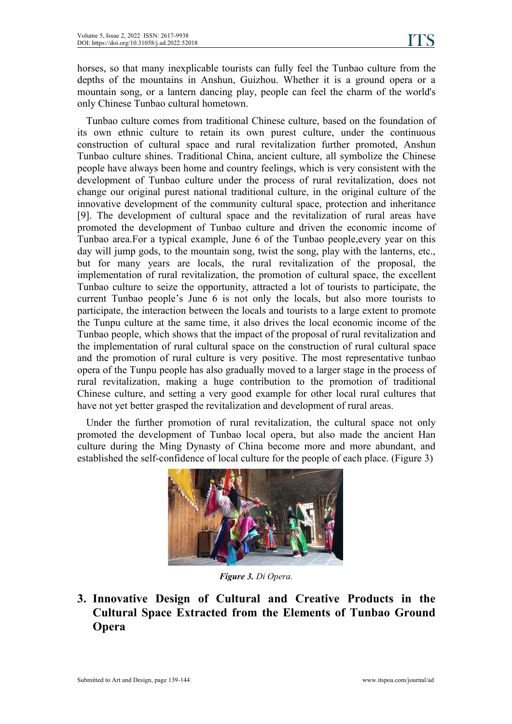horses, so that many inexplicable tourists can fully feel the Tunbao culture from the depths of the mountains in Anshun, Guizhou. Whether it is a ground opera or a mountain song, or a lantern dancing play, people can feel the charm of the world's only Chinese Tunbao cultural hometown.

Tunbao culture comes from traditional Chinese culture, based on the foundation of its own ethnic culture to retain its own purest culture, under the continuous construction of cultural space and rural revitalization further promoted, Anshun Tunbao culture shines. Traditional China, ancient culture, all symbolize the Chinese people have always been home and country feelings, which is very consistent with the development of Tunbao culture under the process of rural revitalization, does not change our original purest national traditional culture, in the original culture of the innovative development of the community cultural space, protection and inheritance [9]. The development of cultural space and the revitalization of rural areas have promoted the development of Tunbao culture and driven the economic income of Tunbao area. For a typical example, June 6 of the Tunbao people, every year on this day will jump gods, to the mountain song, twist the song, play with the lanterns, etc., but for many years are locals, the rural revitalization of the proposal, the implementation of rural revitalization, the promotion of cultural space, the excellent Tunbao culture to seize the opportunity, attracted a lot of tourists to participate, the current Tunbao people's June 6 is not only the locals, but also more tourists to participate, the interaction between the locals and tourists to a large extent to promote the Tunpu culture at the same time, it also drives the local economic income of the Tunbao people, which shows that the impact of the proposal of rural revitalization and the implementation of rural cultural space on the construction of rural cultural space and the promotion of rural culture is very positive. The most representative tunbao opera of the Tunpu people has also gradually moved to a larger stage in the process of rural revitalization, making a huge contribution to the promotion of traditional Chinese culture, and setting a very good example for other local rural cultures that have not yet better grasped the revitalization and development of rural areas.

Under the further promotion of rural revitalization, the cultural space not only promoted the development of Tunbao local opera, but also made the ancient Han culture during the Ming Dynasty of China become more and more abundant, and established the self-confidence of local culture for the people of each place. (Figure 3)



*Figure 3. Di Opera.*

**3. Innovative Design of Cultural and Creative Products in the Cultural Space Extracted from the Elements of Tunbao Ground Opera**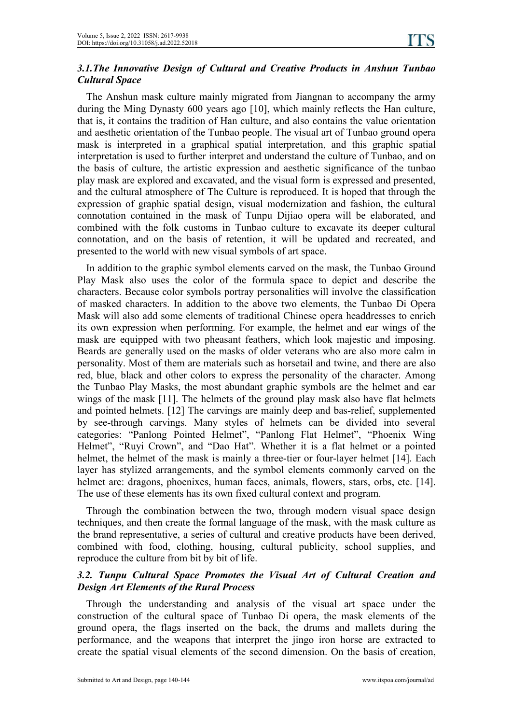#### *3.1.The Innovative Design of Cultural and Creative Products in Anshun Tunbao Cultural Space*

The Anshun mask culture mainly migrated from Jiangnan to accompany the army during the Ming Dynasty 600 years ago [10], which mainly reflects the Han culture, that is, it contains the tradition of Han culture, and also contains the value orientation and aesthetic orientation of the Tunbao people. The visual art of Tunbao ground opera mask is interpreted in a graphical spatial interpretation, and this graphic spatial interpretation is used to further interpret and understand the culture of Tunbao, and on the basis of culture, the artistic expression and aesthetic significance of the tunbao play mask are explored and excavated, and the visual form is expressed and presented, and the cultural atmosphere of The Culture is reproduced. It is hoped that through the expression of graphic spatial design, visual modernization and fashion, the cultural connotation contained in the mask of Tunpu Dijiao opera will be elaborated, and combined with the folk customs in Tunbao culture to excavate its deeper cultural connotation, and on the basis of retention, it will be updated and recreated, and presented to the world with new visual symbols of art space.

In addition to the graphic symbol elements carved on the mask, the Tunbao Ground Play Mask also uses the color of the formula space to depict and describe the characters. Because color symbols portray personalities will involve the classification of masked characters. In addition to the above two elements, the Tunbao Di Opera Mask will also add some elements of traditional Chinese opera headdresses to enrich its own expression when performing. For example, the helmet and ear wings of the mask are equipped with two pheasant feathers, which look majestic and imposing. Beards are generally used on the masks of older veterans who are also more calm in personality. Most of them are materials such as horsetail and twine, and there are also red, blue, black and other colors to express the personality of the character. Among the Tunbao Play Masks, the most abundant graphic symbols are the helmet and ear wings of the mask [11]. The helmets of the ground play mask also have flat helmets and pointed helmets. [12] The carvings are mainly deep and bas-relief, supplemented by see-through carvings. Many styles of helmets can be divided into several categories: "Panlong Pointed Helmet", "Panlong Flat Helmet", "Phoenix Wing Helmet", "Ruyi Crown", and "Dao Hat". Whether it is a flat helmet or a pointed helmet, the helmet of the mask is mainly a three-tier or four-layer helmet [14]. Each layer has stylized arrangements, and the symbol elements commonly carved on the helmet are: dragons, phoenixes, human faces, animals, flowers, stars, orbs, etc. [14]. The use of these elements has its own fixed cultural context and program.

Through the combination between the two, through modern visual space design techniques, and then create the formal language of the mask, with the mask culture as the brand representative, a series of cultural and creative products have been derived, combined with food, clothing, housing, cultural publicity, school supplies, and reproduce the culture from bit by bit of life.

#### *3.2. Tunpu Cultural Space Promotes the Visual Art of Cultural Creation and Design Art Elements of the Rural Process*

Through the understanding and analysis of the visual art space under the construction of the cultural space of Tunbao Di opera, the mask elements of the ground opera, the flags inserted on the back, the drums and mallets during the performance, and the weapons that interpret the jingo iron horse are extracted to create the spatial visual elements of the second dimension. On the basis of creation,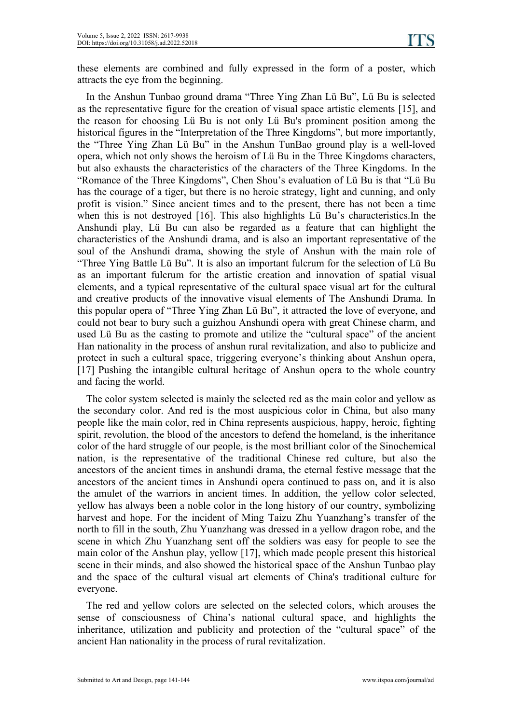these elements are combined and fully expressed in the form of a poster, which attracts the eye from the beginning.

In the Anshun Tunbao ground drama "Three Ying Zhan Lü Bu", Lü Bu is selected as the representative figure for the creation of visual space artistic elements [15], and the reason for choosing Lü Bu is not only Lü Bu's prominent position among the historical figures in the "Interpretation of the Three Kingdoms", but more importantly, the "Three Ying Zhan Lü Bu" in the Anshun TunBao ground play is a well-loved opera, which not only shows the heroism of Lü Bu in the Three Kingdoms characters, but also exhausts the characteristics of the characters of the Three Kingdoms. In the "Romance of the Three Kingdoms", Chen Shou's evaluation of Lü Bu is that"Lü Bu has the courage of a tiger, but there is no heroic strategy, light and cunning, and only profit is vision." Since ancient times and to the present, there has not been a time when this is not destroyed [16]. This also highlights Lü Bu's characteristics.In the Anshundi play, Lü Bu can also be regarded as a feature that can highlight the characteristics of the Anshundi drama, and is also an important representative of the soul of the Anshundi drama, showing the style of Anshun with the main role of "Three Ying Battle Lü Bu". It is also an important fulcrum for the selection of Lü Bu as an important fulcrum for the artistic creation and innovation of spatial visual elements, and a typical representative of the cultural space visual art for the cultural and creative products of the innovative visual elements of The Anshundi Drama. In this popular opera of "Three Ying Zhan Lü Bu", it attracted the love of everyone, and could not bear to bury such a guizhou Anshundiopera with great Chinese charm, and used Lü Bu as the casting to promote and utilize the "cultural space" of the ancient Han nationality in the process of anshun rural revitalization, and also to publicize and protect in such a cultural space, triggering everyone's thinking about Anshun opera, [17] Pushing the intangible cultural heritage of Anshun opera to the whole country and facing the world.

The color system selected is mainly the selected red as the main color and yellow as the secondary color. And red is the most auspicious color in China, but also many people like the main color, red in China represents auspicious, happy, heroic, fighting spirit, revolution, the blood of the ancestors to defend the homeland, is the inheritance color of the hard struggle of our people, is the most brilliant color of the Sinochemical nation, is the representative of the traditional Chinese red culture, but also the ancestors of the ancient times in anshundi drama, the eternal festive message that the ancestors of the ancient times in Anshundi opera continued to pass on, and it is also the amulet of the warriors in ancient times. In addition, the yellow color selected, yellow has always been a noble color in the long history of our country, symbolizing harvest and hope. For the incident of Ming Taizu Zhu Yuanzhang's transfer of the north to fill in the south, Zhu Yuanzhang was dressed in a yellow dragon robe, and the scene in which Zhu Yuanzhang sent off the soldiers was easy for people to see the main color of the Anshun play, yellow  $[17]$ , which made people present this historical scene in their minds, and also showed the historical space of the Anshun Tunbao play and the space of the cultural visual art elements of China's traditional culture for everyone.

The red and yellow colors are selected on the selected colors, which arouses the sense of consciousness of China's national cultural space, and highlights the inheritance, utilization and publicity and protection of the "cultural space" of the ancient Han nationality in the process of rural revitalization.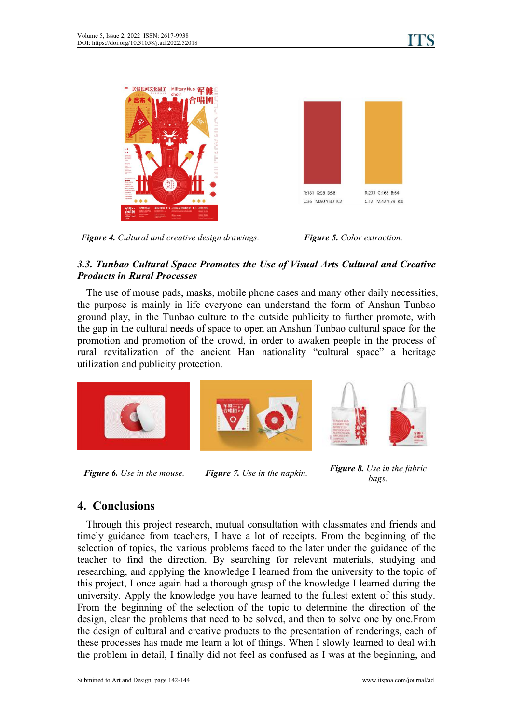





#### *3.3. Tunbao Cultural Space Promotes the Use of Visual Arts Cultural and Creative Products in Rural Processes*

The use of mouse pads, masks, mobile phone cases and many other daily necessities, the purpose is mainly in life everyone can understand the form of Anshun Tunbao ground play, in the Tunbao culture to the outside publicity to further promote, with the gap in the cultural needs of space to open an Anshun Tunbao cultural space for the promotion and promotion of the crowd, in order to awaken people in the process of rural revitalization of the ancient Han nationality "cultural space" a heritage utilization and publicity protection.



*Figure 6. Use in the mouse. Figure 7. Use in the napkin.Figure 8. Use in the fabric*

*bags.*

## **4. Conclusions**

Through this project research, mutual consultation with classmates and friends and timely guidance from teachers, I have a lot of receipts. From the beginning of the selection of topics, the various problems faced to the later under the guidance of the teacher to find the direction. By searching for relevant materials, studying and researching, and applying the knowledge I learned from the university to the topic of this project, I once again had a thorough grasp of the knowledge I learned during the university. Apply the knowledge you have learned to the fullest extent of this study. From the beginning of the selection of the topic to determine the direction of the design, clear the problems that need to be solved, and then to solve one by one.From the design of cultural and creative products to the presentation of renderings, each of these processes has made me learn a lot of things. When I slowly learned to deal with the problem in detail, I finally did not feel as confused as I was at the beginning, and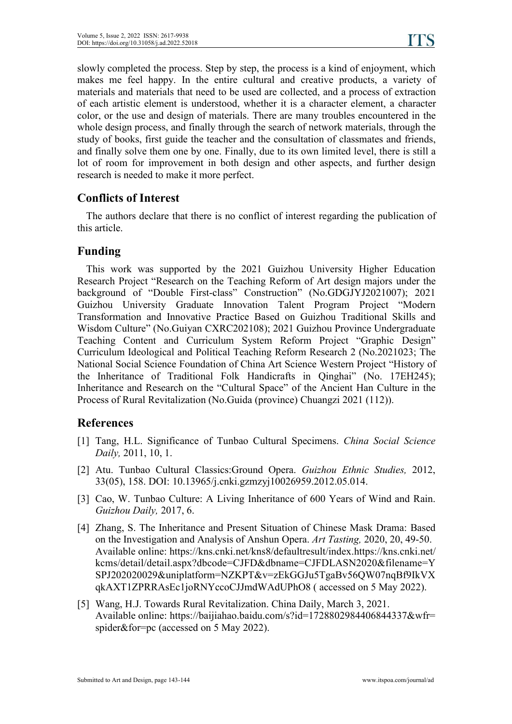slowly completed the process. Step by step, the process is a kind of enjoyment, which makes me feel happy. In the entire cultural and creative products, a variety of materials and materials that need to be used are collected, and a process of extraction of each artistic element is understood, whether it is a character element, a character color, or the use and design of materials. There are many troubles encountered in the whole design process, and finally through the search of network materials, through the study of books, first guide the teacher and the consultation of classmates and friends, and finally solve them one by one. Finally, due to its own limited level, there is still a lot of room for improvement in both design and other aspects, and further design research is needed to make it more perfect.

#### **Conflicts of Interest**

The authors declare that there is no conflict of interest regarding the publication of this article.

#### **Funding**

This work wassupported by the 2021 Guizhou University Higher Education Research Project "Research on the Teaching Reform of Art design majors under the background of "Double First-class" Construction" (No.GDGJYJ2021007); 2021 Guizhou University Graduate Innovation Talent Program Project "Modern Transformation and Innovative Practice Based on Guizhou Traditional Skills and Wisdom Culture" (No.Guiyan CXRC202108); 2021 Guizhou Province Undergraduate Teaching Content and Curriculum System Reform Project "Graphic Design" Curriculum Ideological and Political Teaching Reform Research 2 (No.2021023; The National Social Science Foundation of China Art Science Western Project "History of the Inheritance of Traditional Folk Handicrafts in Qinghai" (No. 17EH245); Inheritance and Research on the "Cultural Space" of the Ancient Han Culture in the Process of Rural Revitalization (No.Guida (province) Chuangzi 2021 (112)).

#### **References**

- [1] Tang, H.L. Significance of Tunbao Cultural Specimens. *China Social Science Daily,* 2011, 10, 1.
- [2] Atu. Tunbao Cultural Classics:Ground Opera. *Guizhou Ethnic Studies,*2012, 33(05), 158. DOI: 10.13965/j.cnki.gzmzyj10026959.2012.05.014.
- [3] Cao, W. Tunbao Culture: A Living Inheritance of 600 Years of Wind and Rain. *Guizhou Daily,* 2017, 6.
- [4] Zhang, S. The Inheritance and Present Situation of Chinese Mask Drama: Based on the Investigation and Analysis ofAnshun Opera. *Art Tasting,* 2020, 20, 49-50. Available online: https://kns.cnki.net/kns8/defaultresult/index.https://kns.cnki.net/ kcms/detail/detail.aspx?dbcode=CJFD&dbname=CJFDLASN2020&filename=Y SPJ202020029&uniplatform=NZKPT&v=zEkGGJu5TgaBv56QW07nqBf9IkVX qkAXT1ZPRRAsEc1joRNYccoCJJmdWAdUPhO8 ( accessed on 5 May 2022).
- [5] Wang, H.J. Towards Rural Revitalization. China Daily, March 3, 2021. Available online: https://baijiahao.baidu.com/s?id=1728802984406844337&wfr= spider&for=pc (accessed on 5 May 2022).